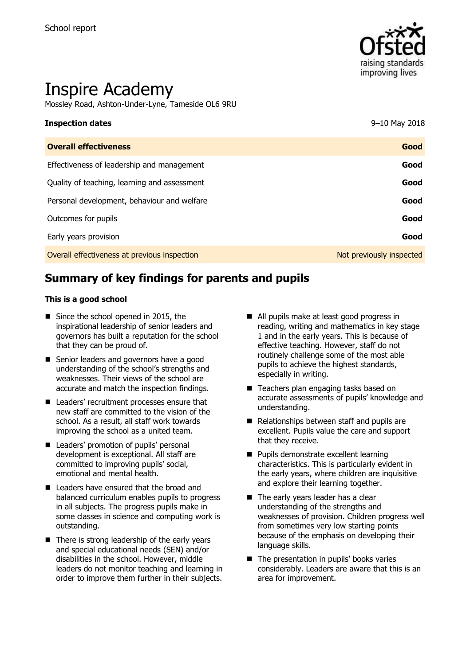

# Inspire Academy

Mossley Road, Ashton-Under-Lyne, Tameside OL6 9RU

# **Inspection dates** 9–10 May 2018 **Overall effectiveness Good**

| Effectiveness of leadership and management   | Good                     |
|----------------------------------------------|--------------------------|
| Quality of teaching, learning and assessment | Good                     |
| Personal development, behaviour and welfare  | Good                     |
| Outcomes for pupils                          | Good                     |
| Early years provision                        | Good                     |
| Overall effectiveness at previous inspection | Not previously inspected |

# **Summary of key findings for parents and pupils**

#### **This is a good school**

- Since the school opened in 2015, the inspirational leadership of senior leaders and governors has built a reputation for the school that they can be proud of.
- Senior leaders and governors have a good understanding of the school's strengths and weaknesses. Their views of the school are accurate and match the inspection findings.
- Leaders' recruitment processes ensure that new staff are committed to the vision of the school. As a result, all staff work towards improving the school as a united team.
- Leaders' promotion of pupils' personal development is exceptional. All staff are committed to improving pupils' social, emotional and mental health.
- Leaders have ensured that the broad and balanced curriculum enables pupils to progress in all subjects. The progress pupils make in some classes in science and computing work is outstanding.
- $\blacksquare$  There is strong leadership of the early years and special educational needs (SEN) and/or disabilities in the school. However, middle leaders do not monitor teaching and learning in order to improve them further in their subjects.
- All pupils make at least good progress in reading, writing and mathematics in key stage 1 and in the early years. This is because of effective teaching. However, staff do not routinely challenge some of the most able pupils to achieve the highest standards, especially in writing.
- Teachers plan engaging tasks based on accurate assessments of pupils' knowledge and understanding.
- Relationships between staff and pupils are excellent. Pupils value the care and support that they receive.
- **Pupils demonstrate excellent learning** characteristics. This is particularly evident in the early years, where children are inquisitive and explore their learning together.
- The early years leader has a clear understanding of the strengths and weaknesses of provision. Children progress well from sometimes very low starting points because of the emphasis on developing their language skills.
- The presentation in pupils' books varies considerably. Leaders are aware that this is an area for improvement.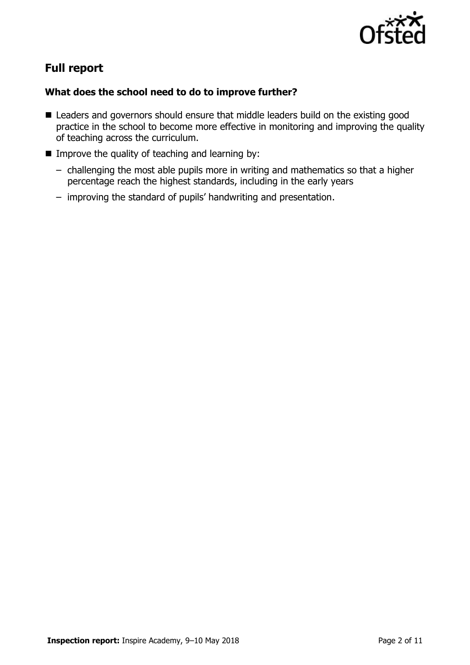

# **Full report**

#### **What does the school need to do to improve further?**

- Leaders and governors should ensure that middle leaders build on the existing good practice in the school to become more effective in monitoring and improving the quality of teaching across the curriculum.
- Improve the quality of teaching and learning by:
	- challenging the most able pupils more in writing and mathematics so that a higher percentage reach the highest standards, including in the early years
	- improving the standard of pupils' handwriting and presentation.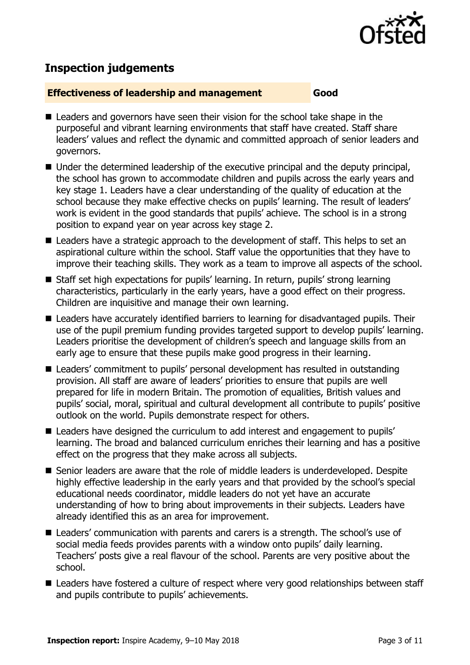

## **Inspection judgements**

#### **Effectiveness of leadership and management Good**

- Leaders and governors have seen their vision for the school take shape in the purposeful and vibrant learning environments that staff have created. Staff share leaders' values and reflect the dynamic and committed approach of senior leaders and governors.
- Under the determined leadership of the executive principal and the deputy principal, the school has grown to accommodate children and pupils across the early years and key stage 1. Leaders have a clear understanding of the quality of education at the school because they make effective checks on pupils' learning. The result of leaders' work is evident in the good standards that pupils' achieve. The school is in a strong position to expand year on year across key stage 2.
- Leaders have a strategic approach to the development of staff. This helps to set an aspirational culture within the school. Staff value the opportunities that they have to improve their teaching skills. They work as a team to improve all aspects of the school.
- Staff set high expectations for pupils' learning. In return, pupils' strong learning characteristics, particularly in the early years, have a good effect on their progress. Children are inquisitive and manage their own learning.
- Leaders have accurately identified barriers to learning for disadvantaged pupils. Their use of the pupil premium funding provides targeted support to develop pupils' learning. Leaders prioritise the development of children's speech and language skills from an early age to ensure that these pupils make good progress in their learning.
- Leaders' commitment to pupils' personal development has resulted in outstanding provision. All staff are aware of leaders' priorities to ensure that pupils are well prepared for life in modern Britain. The promotion of equalities, British values and pupils' social, moral, spiritual and cultural development all contribute to pupils' positive outlook on the world. Pupils demonstrate respect for others.
- Leaders have designed the curriculum to add interest and engagement to pupils' learning. The broad and balanced curriculum enriches their learning and has a positive effect on the progress that they make across all subjects.
- Senior leaders are aware that the role of middle leaders is underdeveloped. Despite highly effective leadership in the early years and that provided by the school's special educational needs coordinator, middle leaders do not yet have an accurate understanding of how to bring about improvements in their subjects. Leaders have already identified this as an area for improvement.
- Leaders' communication with parents and carers is a strength. The school's use of social media feeds provides parents with a window onto pupils' daily learning. Teachers' posts give a real flavour of the school. Parents are very positive about the school.
- Leaders have fostered a culture of respect where very good relationships between staff and pupils contribute to pupils' achievements.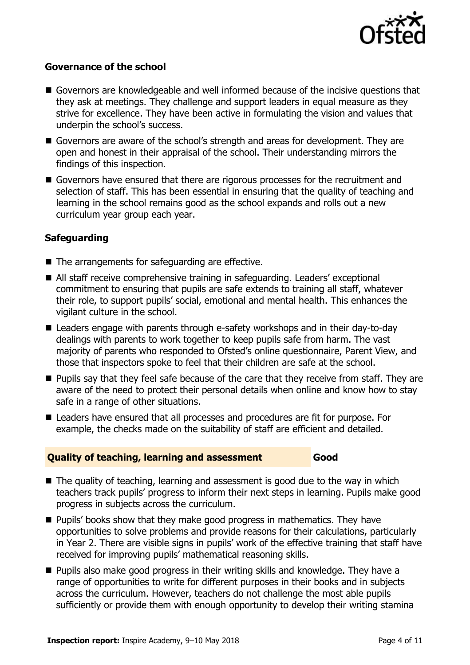

#### **Governance of the school**

- Governors are knowledgeable and well informed because of the incisive questions that they ask at meetings. They challenge and support leaders in equal measure as they strive for excellence. They have been active in formulating the vision and values that underpin the school's success.
- Governors are aware of the school's strength and areas for development. They are open and honest in their appraisal of the school. Their understanding mirrors the findings of this inspection.
- Governors have ensured that there are rigorous processes for the recruitment and selection of staff. This has been essential in ensuring that the quality of teaching and learning in the school remains good as the school expands and rolls out a new curriculum year group each year.

#### **Safeguarding**

- The arrangements for safeguarding are effective.
- All staff receive comprehensive training in safeguarding. Leaders' exceptional commitment to ensuring that pupils are safe extends to training all staff, whatever their role, to support pupils' social, emotional and mental health. This enhances the vigilant culture in the school.
- Leaders engage with parents through e-safety workshops and in their day-to-day dealings with parents to work together to keep pupils safe from harm. The vast majority of parents who responded to Ofsted's online questionnaire, Parent View, and those that inspectors spoke to feel that their children are safe at the school.
- **Pupils say that they feel safe because of the care that they receive from staff. They are** aware of the need to protect their personal details when online and know how to stay safe in a range of other situations.
- Leaders have ensured that all processes and procedures are fit for purpose. For example, the checks made on the suitability of staff are efficient and detailed.

#### **Quality of teaching, learning and assessment Good**

- $\blacksquare$  The quality of teaching, learning and assessment is good due to the way in which teachers track pupils' progress to inform their next steps in learning. Pupils make good progress in subjects across the curriculum.
- **Pupils' books show that they make good progress in mathematics. They have** opportunities to solve problems and provide reasons for their calculations, particularly in Year 2. There are visible signs in pupils' work of the effective training that staff have received for improving pupils' mathematical reasoning skills.
- **Pupils also make good progress in their writing skills and knowledge. They have a** range of opportunities to write for different purposes in their books and in subjects across the curriculum. However, teachers do not challenge the most able pupils sufficiently or provide them with enough opportunity to develop their writing stamina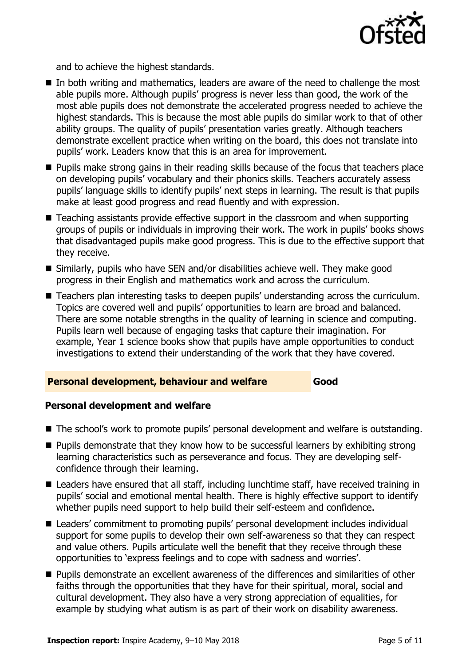

and to achieve the highest standards.

- In both writing and mathematics, leaders are aware of the need to challenge the most able pupils more. Although pupils' progress is never less than good, the work of the most able pupils does not demonstrate the accelerated progress needed to achieve the highest standards. This is because the most able pupils do similar work to that of other ability groups. The quality of pupils' presentation varies greatly. Although teachers demonstrate excellent practice when writing on the board, this does not translate into pupils' work. Leaders know that this is an area for improvement.
- **Pupils make strong gains in their reading skills because of the focus that teachers place** on developing pupils' vocabulary and their phonics skills. Teachers accurately assess pupils' language skills to identify pupils' next steps in learning. The result is that pupils make at least good progress and read fluently and with expression.
- Teaching assistants provide effective support in the classroom and when supporting groups of pupils or individuals in improving their work. The work in pupils' books shows that disadvantaged pupils make good progress. This is due to the effective support that they receive.
- Similarly, pupils who have SEN and/or disabilities achieve well. They make good progress in their English and mathematics work and across the curriculum.
- Teachers plan interesting tasks to deepen pupils' understanding across the curriculum. Topics are covered well and pupils' opportunities to learn are broad and balanced. There are some notable strengths in the quality of learning in science and computing. Pupils learn well because of engaging tasks that capture their imagination. For example, Year 1 science books show that pupils have ample opportunities to conduct investigations to extend their understanding of the work that they have covered.

#### **Personal development, behaviour and welfare Good**

#### **Personal development and welfare**

- The school's work to promote pupils' personal development and welfare is outstanding.
- $\blacksquare$  Pupils demonstrate that they know how to be successful learners by exhibiting strong learning characteristics such as perseverance and focus. They are developing selfconfidence through their learning.
- Leaders have ensured that all staff, including lunchtime staff, have received training in pupils' social and emotional mental health. There is highly effective support to identify whether pupils need support to help build their self-esteem and confidence.
- Leaders' commitment to promoting pupils' personal development includes individual support for some pupils to develop their own self-awareness so that they can respect and value others. Pupils articulate well the benefit that they receive through these opportunities to 'express feelings and to cope with sadness and worries'.
- Pupils demonstrate an excellent awareness of the differences and similarities of other faiths through the opportunities that they have for their spiritual, moral, social and cultural development. They also have a very strong appreciation of equalities, for example by studying what autism is as part of their work on disability awareness.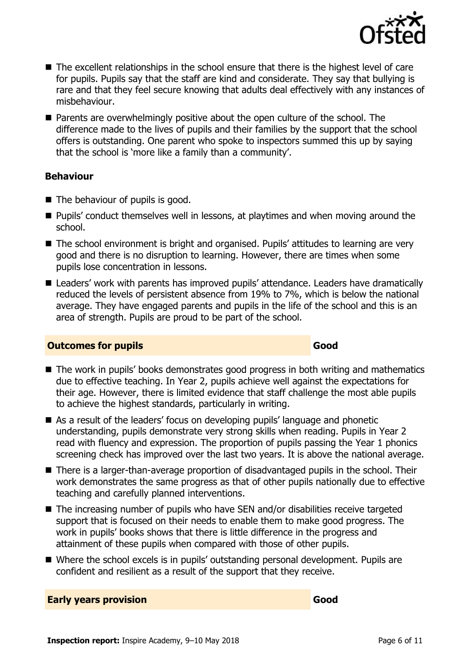

- The excellent relationships in the school ensure that there is the highest level of care for pupils. Pupils say that the staff are kind and considerate. They say that bullying is rare and that they feel secure knowing that adults deal effectively with any instances of misbehaviour.
- **Parents are overwhelmingly positive about the open culture of the school. The** difference made to the lives of pupils and their families by the support that the school offers is outstanding. One parent who spoke to inspectors summed this up by saying that the school is 'more like a family than a community'.

#### **Behaviour**

- $\blacksquare$  The behaviour of pupils is good.
- **Pupils'** conduct themselves well in lessons, at playtimes and when moving around the school.
- The school environment is bright and organised. Pupils' attitudes to learning are very good and there is no disruption to learning. However, there are times when some pupils lose concentration in lessons.
- Leaders' work with parents has improved pupils' attendance. Leaders have dramatically reduced the levels of persistent absence from 19% to 7%, which is below the national average. They have engaged parents and pupils in the life of the school and this is an area of strength. Pupils are proud to be part of the school.

#### **Outcomes for pupils Good Good**

- The work in pupils' books demonstrates good progress in both writing and mathematics due to effective teaching. In Year 2, pupils achieve well against the expectations for their age. However, there is limited evidence that staff challenge the most able pupils to achieve the highest standards, particularly in writing.
- As a result of the leaders' focus on developing pupils' language and phonetic understanding, pupils demonstrate very strong skills when reading. Pupils in Year 2 read with fluency and expression. The proportion of pupils passing the Year 1 phonics screening check has improved over the last two years. It is above the national average.
- There is a larger-than-average proportion of disadvantaged pupils in the school. Their work demonstrates the same progress as that of other pupils nationally due to effective teaching and carefully planned interventions.
- The increasing number of pupils who have SEN and/or disabilities receive targeted support that is focused on their needs to enable them to make good progress. The work in pupils' books shows that there is little difference in the progress and attainment of these pupils when compared with those of other pupils.
- Where the school excels is in pupils' outstanding personal development. Pupils are confident and resilient as a result of the support that they receive.

**Early years provision Good**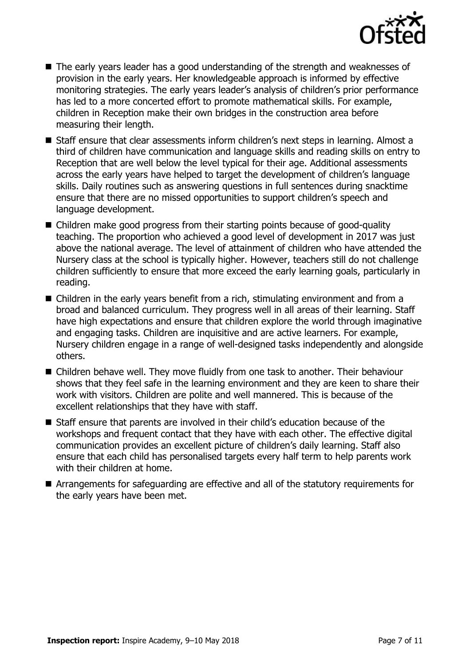

- The early years leader has a good understanding of the strength and weaknesses of provision in the early years. Her knowledgeable approach is informed by effective monitoring strategies. The early years leader's analysis of children's prior performance has led to a more concerted effort to promote mathematical skills. For example, children in Reception make their own bridges in the construction area before measuring their length.
- Staff ensure that clear assessments inform children's next steps in learning. Almost a third of children have communication and language skills and reading skills on entry to Reception that are well below the level typical for their age. Additional assessments across the early years have helped to target the development of children's language skills. Daily routines such as answering questions in full sentences during snacktime ensure that there are no missed opportunities to support children's speech and language development.
- Children make good progress from their starting points because of good-quality teaching. The proportion who achieved a good level of development in 2017 was just above the national average. The level of attainment of children who have attended the Nursery class at the school is typically higher. However, teachers still do not challenge children sufficiently to ensure that more exceed the early learning goals, particularly in reading.
- Children in the early years benefit from a rich, stimulating environment and from a broad and balanced curriculum. They progress well in all areas of their learning. Staff have high expectations and ensure that children explore the world through imaginative and engaging tasks. Children are inquisitive and are active learners. For example, Nursery children engage in a range of well-designed tasks independently and alongside others.
- Children behave well. They move fluidly from one task to another. Their behaviour shows that they feel safe in the learning environment and they are keen to share their work with visitors. Children are polite and well mannered. This is because of the excellent relationships that they have with staff.
- Staff ensure that parents are involved in their child's education because of the workshops and frequent contact that they have with each other. The effective digital communication provides an excellent picture of children's daily learning. Staff also ensure that each child has personalised targets every half term to help parents work with their children at home.
- Arrangements for safeguarding are effective and all of the statutory requirements for the early years have been met.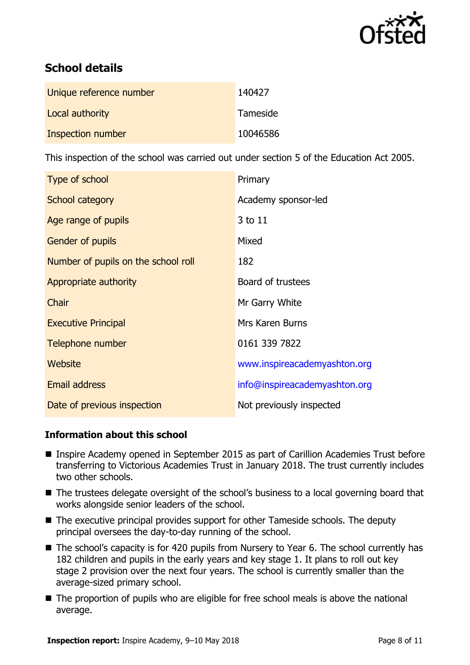

# **School details**

| Unique reference number | 140427   |
|-------------------------|----------|
| Local authority         | Tameside |
| Inspection number       | 10046586 |

This inspection of the school was carried out under section 5 of the Education Act 2005.

| Type of school                      | Primary                       |
|-------------------------------------|-------------------------------|
| School category                     | Academy sponsor-led           |
| Age range of pupils                 | 3 to 11                       |
| Gender of pupils                    | Mixed                         |
| Number of pupils on the school roll | 182                           |
| Appropriate authority               | Board of trustees             |
| Chair                               | Mr Garry White                |
| <b>Executive Principal</b>          | <b>Mrs Karen Burns</b>        |
| Telephone number                    | 0161 339 7822                 |
| Website                             | www.inspireacademyashton.org  |
| Email address                       | info@inspireacademyashton.org |
| Date of previous inspection         | Not previously inspected      |

### **Information about this school**

- Inspire Academy opened in September 2015 as part of Carillion Academies Trust before transferring to Victorious Academies Trust in January 2018. The trust currently includes two other schools.
- The trustees delegate oversight of the school's business to a local governing board that works alongside senior leaders of the school.
- The executive principal provides support for other Tameside schools. The deputy principal oversees the day-to-day running of the school.
- The school's capacity is for 420 pupils from Nursery to Year 6. The school currently has 182 children and pupils in the early years and key stage 1. It plans to roll out key stage 2 provision over the next four years. The school is currently smaller than the average-sized primary school.
- The proportion of pupils who are eligible for free school meals is above the national average.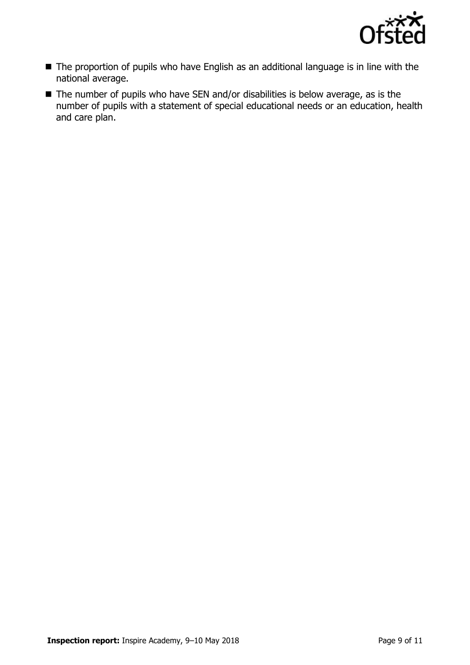

- The proportion of pupils who have English as an additional language is in line with the national average.
- The number of pupils who have SEN and/or disabilities is below average, as is the number of pupils with a statement of special educational needs or an education, health and care plan.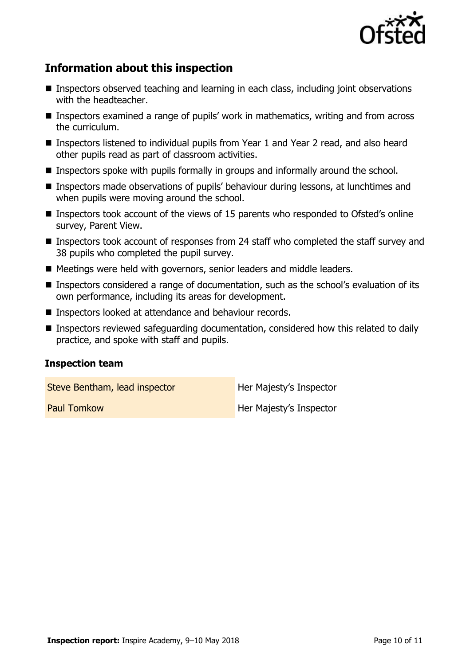

## **Information about this inspection**

- **Inspectors observed teaching and learning in each class, including joint observations** with the headteacher.
- Inspectors examined a range of pupils' work in mathematics, writing and from across the curriculum.
- Inspectors listened to individual pupils from Year 1 and Year 2 read, and also heard other pupils read as part of classroom activities.
- Inspectors spoke with pupils formally in groups and informally around the school.
- Inspectors made observations of pupils' behaviour during lessons, at lunchtimes and when pupils were moving around the school.
- Inspectors took account of the views of 15 parents who responded to Ofsted's online survey, Parent View.
- Inspectors took account of responses from 24 staff who completed the staff survey and 38 pupils who completed the pupil survey.
- Meetings were held with governors, senior leaders and middle leaders.
- Inspectors considered a range of documentation, such as the school's evaluation of its own performance, including its areas for development.
- Inspectors looked at attendance and behaviour records.
- Inspectors reviewed safeguarding documentation, considered how this related to daily practice, and spoke with staff and pupils.

#### **Inspection team**

Steve Bentham, lead inspector **Her Majesty's Inspector** 

**Paul Tomkow Her Majesty's Inspector**